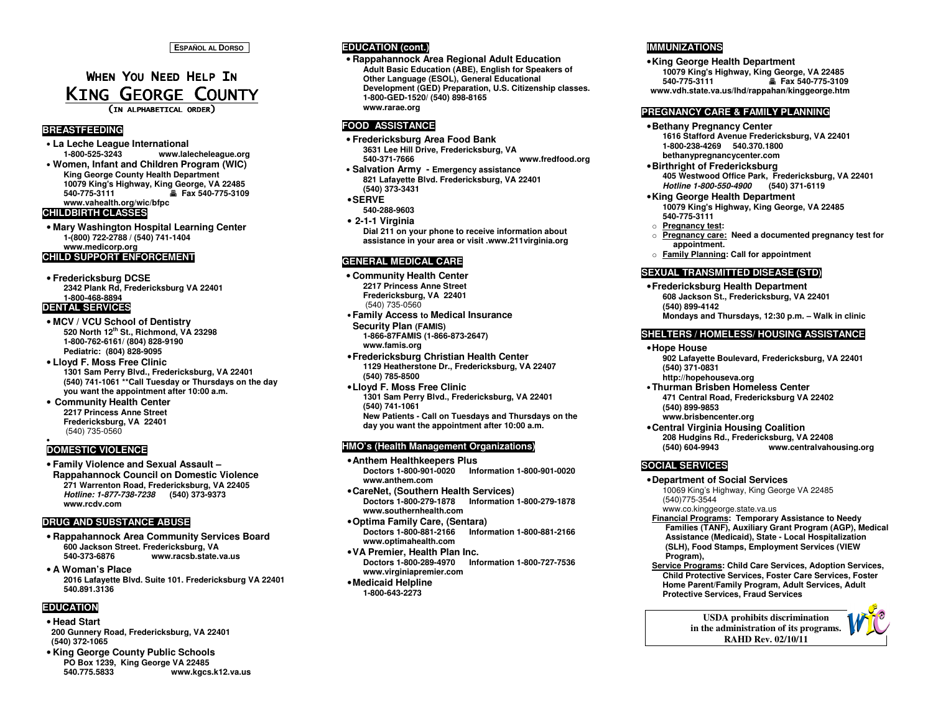# WHEN YOU NEED HELP IN KING GEORGE COUNTY

(IN ALPHABETICAL ORDER)

### **BREASTFEEDING**

• **La Leche League International 1-800-525-3243 www.lalecheleague.org** • **Women, Infant and Children Program (WIC) King George County Health Department 10079 King's Highway, King George, VA 22485 540-775-3111 Fax 540-775-3109** 

**www.vahealth.org/wic/bfpc** 

### **CHILDBIRTH CLASSES**

• **Mary Washington Hospital Learning Center 1-(800) 722-2788 / (540) 741-1404 www.medicorp.org CHILD SUPPORT ENFORCEMENT** 

#### • **Fredericksburg DCSE 2342 Plank Rd, Fredericksburg VA 22401 1-800-468-8894**

#### **DENTAL SERVICES**

- **MCV / VCU School of Dentistry 520 North 12th St., Richmond, VA 23298 1-800-762-6161/ (804) 828-9190 Pediatric: (804) 828-9095**
- **Lloyd F. Moss Free Clinic 1301 Sam Perry Blvd., Fredericksburg, VA 22401 (540) 741-1061 \*\*Call Tuesday or Thursdays on the day you want the appointment after 10:00 a.m.**
- **Community Health Center 2217 Princess Anne Street Fredericksburg, VA 22401** (540) 735-0560

### **DOMESTIC VIOLENCE**

•

• **Family Violence and Sexual Assault – Rappahannock Council on Domestic Violence 271 Warrenton Road, Fredericksburg, VA 22405 Hotline: 1-877-738-7238 (540) 373-9373www.rcdv.com** 

#### **DRUG AND SUBSTANCE ABUSE**

- **Rappahannock Area Community Services Board 600 Jackson Street. Fredericksburg, VA 540-373-6876 www.racsb.state.va.us**
- **A Woman's Place 2016 Lafayette Blvd. Suite 101. Fredericksburg VA 22401 540.891.3136**

### **EDUCATION**

- **Head Start 200 Gunnery Road, Fredericksburg, VA 22401 (540) 372-1065**
- **King George County Public Schools PO Box 1239, King George VA 22485 540.775.5833 www.kgcs.k12.va.us**

### **EDUCATION (cont.)**

 • **Rappahannock Area Regional Adult Education Adult Basic Education (ABE), English for Speakers of Other Language (ESOL), General Educational Development (GED) Preparation, U.S. Citizenship classes.1-800-GED-1520/ (540) 898-8165 www.rarae.org** 

#### **FOOD ASSISTANCE**

- **Fredericksburg Area Food Bank 3631 Lee Hill Drive, Fredericksburg, VA 540-371-7666 www.fredfood.org**
- **Salvation Army Emergency assistance 821 Lafayette Blvd. Fredericksburg, VA 22401 (540) 373-3431**

### •**SERVE**

 **540-288-9603** • **2-1-1 Virginia Dial 211 on your phone to receive information aboutassistance in your area or visit .www.211virginia.org** 

### **GENERAL MEDICAL CARE**

- **Community Health Center 2217 Princess Anne Street Fredericksburg, VA 22401** (540) 735-0560
- **Family Access to Medical Insurance Security Plan (FAMIS)**
- **1-866-87FAMIS (1-866-873-2647) www.famis.org**
- •**Fredericksburg Christian Health Center 1129 Heatherstone Dr., Fredericksburg, VA 22407 (540) 785-8500**
- •**Lloyd F. Moss Free Clinic 1301 Sam Perry Blvd., Fredericksburg, VA 22401 (540) 741-1061 New Patients - Call on Tuesdays and Thursdays on the day you want the appointment after 10:00 a.m.**

#### **HMO's (Health Management Organizations)**

- •**Anthem Healthkeepers Plus Doctors 1-800-901-0020 Information 1-800-901-0020 www.anthem.com** •**CareNet, (Southern Health Services)**
- **Doctors 1-800-279-1878 Information 1-800-279-1878 www.southernhealth.com**
- •**Optima Family Care, (Sentara) Doctors 1-800-881-2166 Information 1-800-881-2166 www.optimahealth.com**
- •**VA Premier, Health Plan Inc. Doctors 1-800-289-4970 Information 1-800-727-7536 www.virginiapremier.com**
- •**Medicaid Helpline 1-800-643-2273**

### **IMMUNIZATIONS**

•**King George Health Department 10079 King's Highway, King George, VA 22485 540-775-3111 Fax 540-775-3109 www.vdh.state.va.us/lhd/rappahan/kinggeorge.htm**

#### **PREGNANCY CARE & FAMILY PLANNING**

- •**Bethany Pregnancy Center 1616 Stafford Avenue Fredericksburg, VA 22401 1-800-238-4269 540.370.1800 bethanypregnancycenter.com**
- •**Birthright of Fredericksburg 405 Westwood Office Park, Fredericksburg, VA 22401Hotline 1-800-550-4900 (540) 371-6119**
- •**King George Health Department 10079 King's Highway, King George, VA 22485 540-775-3111**
- o **Pregnancy test:**
- o **Pregnancy care: Need a documented pregnancy test for appointment.**
- o **Family Planning: Call for appointment**

#### **SEXUAL TRANSMITTED DISEASE (STD)**

•**Fredericksburg Health Department 608 Jackson St., Fredericksburg, VA 22401 (540) 899-4142 Mondays and Thursdays, 12:30 p.m. – Walk in clinic** 

#### **SHELTERS / HOMELESS/ HOUSING ASSISTANCE**

- •**Hope House 902 Lafayette Boulevard, Fredericksburg, VA 22401 (540) 371-0831 http://hopehouseva.org**
- **Thurman Brisben Homeless Center 471 Central Road, Fredericksburg VA 22402 (540) 899-9853 www.brisbencenter.org**
- •**Central Virginia Housing Coalition 208 Hudgins Rd., Fredericksburg, VA 22408 (540) 604-9943 www.centralvahousing.org**

### **SOCIAL SERVICES**

- •**Department of Social Services** 
	- 10069 King's Highway, King George VA 22485 (540)775-3544
- www.co.kinggeorge.state.va.us **Financial Programs: Temporary Assistance to Needy Families (TANF), Auxiliary Grant Program (AGP), Medical**
- **Assistance (Medicaid), State Local Hospitalization (SLH), Food Stamps, Employment Services (VIEW Program),**
- **Service Programs: Child Care Services, Adoption Services, Child Protective Services, Foster Care Services, Foster Home Parent/Family Program, Adult Services, Adult Protective Services, Fraud Services**

**USDA prohibits discrimination in the administration of its programs. RAHD Rev. 02/10/11**